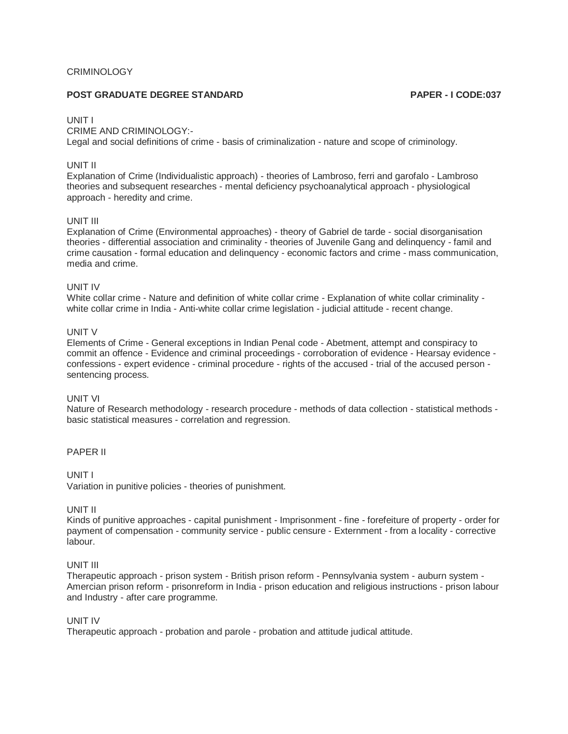### **CRIMINOLOGY**

# **POST GRADUATE DEGREE STANDARD PAPER - I CODE:037**

#### UNIT I

### CRIME AND CRIMINOLOGY:-

Legal and social definitions of crime - basis of criminalization - nature and scope of criminology.

#### UNIT II

Explanation of Crime (Individualistic approach) - theories of Lambroso, ferri and garofalo - Lambroso theories and subsequent researches - mental deficiency psychoanalytical approach - physiological approach - heredity and crime.

### UNIT III

Explanation of Crime (Environmental approaches) - theory of Gabriel de tarde - social disorganisation theories - differential association and criminality - theories of Juvenile Gang and delinquency - famil and crime causation - formal education and delinquency - economic factors and crime - mass communication, media and crime.

#### UNIT IV

White collar crime - Nature and definition of white collar crime - Explanation of white collar criminality white collar crime in India - Anti-white collar crime legislation - judicial attitude - recent change.

#### UNIT V

Elements of Crime - General exceptions in Indian Penal code - Abetment, attempt and conspiracy to commit an offence - Evidence and criminal proceedings - corroboration of evidence - Hearsay evidence confessions - expert evidence - criminal procedure - rights of the accused - trial of the accused person sentencing process.

### UNIT VI

Nature of Research methodology - research procedure - methods of data collection - statistical methods basic statistical measures - correlation and regression.

### PAPER II

### UNIT I

Variation in punitive policies - theories of punishment.

### UNIT II

Kinds of punitive approaches - capital punishment - Imprisonment - fine - forefeiture of property - order for payment of compensation - community service - public censure - Externment - from a locality - corrective labour.

#### UNIT III

Therapeutic approach - prison system - British prison reform - Pennsylvania system - auburn system - Amercian prison reform - prisonreform in India - prison education and religious instructions - prison labour and Industry - after care programme.

#### UNIT IV

Therapeutic approach - probation and parole - probation and attitude judical attitude.